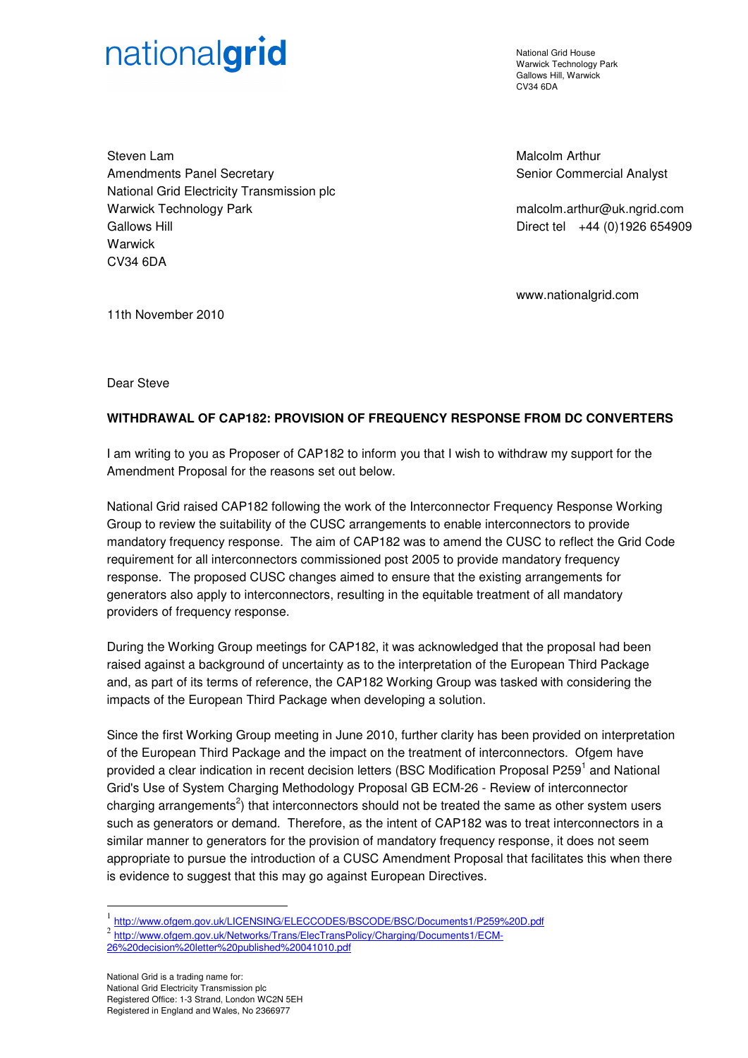## nationalgrid

National Grid House Warwick Technology Park Gallows Hill, Warwick CV34 6DA

Steven Lam Amendments Panel Secretary National Grid Electricity Transmission plc Warwick Technology Park Gallows Hill Warwick CV34 6DA

Malcolm Arthur Senior Commercial Analyst

malcolm.arthur@uk.ngrid.com Direct tel +44 (0)1926 654909

www.nationalgrid.com

11th November 2010

Dear Steve

## **WITHDRAWAL OF CAP182: PROVISION OF FREQUENCY RESPONSE FROM DC CONVERTERS**

I am writing to you as Proposer of CAP182 to inform you that I wish to withdraw my support for the Amendment Proposal for the reasons set out below.

National Grid raised CAP182 following the work of the Interconnector Frequency Response Working Group to review the suitability of the CUSC arrangements to enable interconnectors to provide mandatory frequency response. The aim of CAP182 was to amend the CUSC to reflect the Grid Code requirement for all interconnectors commissioned post 2005 to provide mandatory frequency response. The proposed CUSC changes aimed to ensure that the existing arrangements for generators also apply to interconnectors, resulting in the equitable treatment of all mandatory providers of frequency response.

During the Working Group meetings for CAP182, it was acknowledged that the proposal had been raised against a background of uncertainty as to the interpretation of the European Third Package and, as part of its terms of reference, the CAP182 Working Group was tasked with considering the impacts of the European Third Package when developing a solution.

Since the first Working Group meeting in June 2010, further clarity has been provided on interpretation of the European Third Package and the impact on the treatment of interconnectors. Ofgem have provided a clear indication in recent decision letters (BSC Modification Proposal P259<sup>1</sup> and National Grid's Use of System Charging Methodology Proposal GB ECM-26 - Review of interconnector charging arrangements<sup>2</sup>) that interconnectors should not be treated the same as other system users such as generators or demand. Therefore, as the intent of CAP182 was to treat interconnectors in a similar manner to generators for the provision of mandatory frequency response, it does not seem appropriate to pursue the introduction of a CUSC Amendment Proposal that facilitates this when there is evidence to suggest that this may go against European Directives.

National Grid is a trading name for: National Grid Electricity Transmission plc Registered Office: 1-3 Strand, London WC2N 5EH Registered in England and Wales, No 2366977

 $\overline{a}$ 

<sup>1</sup> http://www.ofgem.gov.uk/LICENSING/ELECCODES/BSCODE/BSC/Documents1/P259%20D.pdf

<sup>2&</sup>lt;br>http://www.ofgem.gov.uk/Networks/Trans/ElecTransPolicy/Charging/Documents1/ECM-

<sup>26%20</sup>decision%20letter%20published%20041010.pdf